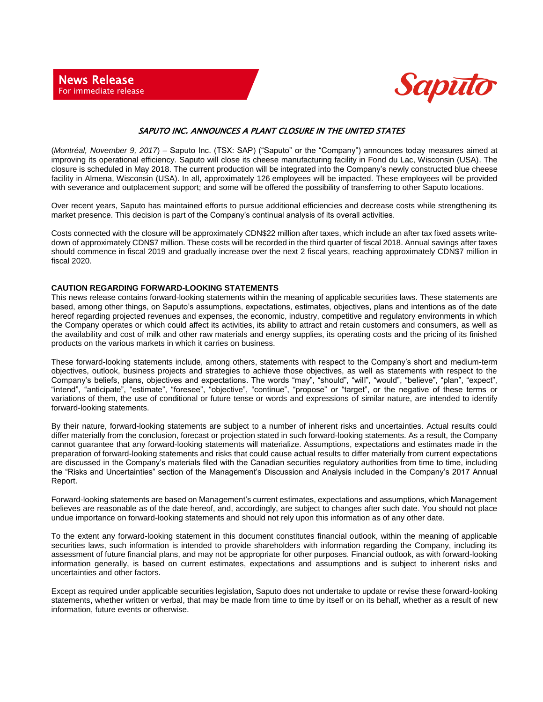

## SAPUTO INC. ANNOUNCES A PLANT CLOSURE IN THE UNITED STATES

(*Montréal, November 9, 2017*) – Saputo Inc. (TSX: SAP) ("Saputo" or the "Company") announces today measures aimed at improving its operational efficiency. Saputo will close its cheese manufacturing facility in Fond du Lac, Wisconsin (USA). The closure is scheduled in May 2018. The current production will be integrated into the Company's newly constructed blue cheese facility in Almena, Wisconsin (USA). In all, approximately 126 employees will be impacted. These employees will be provided with severance and outplacement support; and some will be offered the possibility of transferring to other Saputo locations.

Over recent years, Saputo has maintained efforts to pursue additional efficiencies and decrease costs while strengthening its market presence. This decision is part of the Company's continual analysis of its overall activities.

Costs connected with the closure will be approximately CDN\$22 million after taxes, which include an after tax fixed assets writedown of approximately CDN\$7 million. These costs will be recorded in the third quarter of fiscal 2018. Annual savings after taxes should commence in fiscal 2019 and gradually increase over the next 2 fiscal years, reaching approximately CDN\$7 million in fiscal 2020.

## **CAUTION REGARDING FORWARD-LOOKING STATEMENTS**

This news release contains forward-looking statements within the meaning of applicable securities laws. These statements are based, among other things, on Saputo's assumptions, expectations, estimates, objectives, plans and intentions as of the date hereof regarding projected revenues and expenses, the economic, industry, competitive and regulatory environments in which the Company operates or which could affect its activities, its ability to attract and retain customers and consumers, as well as the availability and cost of milk and other raw materials and energy supplies, its operating costs and the pricing of its finished products on the various markets in which it carries on business.

These forward-looking statements include, among others, statements with respect to the Company's short and medium-term objectives, outlook, business projects and strategies to achieve those objectives, as well as statements with respect to the Company's beliefs, plans, objectives and expectations. The words "may", "should", "will", "would", "believe", "plan", "expect", "intend", "anticipate", "estimate", "foresee", "objective", "continue", "propose" or "target", or the negative of these terms or variations of them, the use of conditional or future tense or words and expressions of similar nature, are intended to identify forward-looking statements.

By their nature, forward-looking statements are subject to a number of inherent risks and uncertainties. Actual results could differ materially from the conclusion, forecast or projection stated in such forward-looking statements. As a result, the Company cannot guarantee that any forward-looking statements will materialize. Assumptions, expectations and estimates made in the preparation of forward-looking statements and risks that could cause actual results to differ materially from current expectations are discussed in the Company's materials filed with the Canadian securities regulatory authorities from time to time, including the "Risks and Uncertainties" section of the Management's Discussion and Analysis included in the Company's 2017 Annual Report.

Forward-looking statements are based on Management's current estimates, expectations and assumptions, which Management believes are reasonable as of the date hereof, and, accordingly, are subject to changes after such date. You should not place undue importance on forward-looking statements and should not rely upon this information as of any other date.

To the extent any forward-looking statement in this document constitutes financial outlook, within the meaning of applicable securities laws, such information is intended to provide shareholders with information regarding the Company, including its assessment of future financial plans, and may not be appropriate for other purposes. Financial outlook, as with forward-looking information generally, is based on current estimates, expectations and assumptions and is subject to inherent risks and uncertainties and other factors.

Except as required under applicable securities legislation, Saputo does not undertake to update or revise these forward-looking statements, whether written or verbal, that may be made from time to time by itself or on its behalf, whether as a result of new information, future events or otherwise.